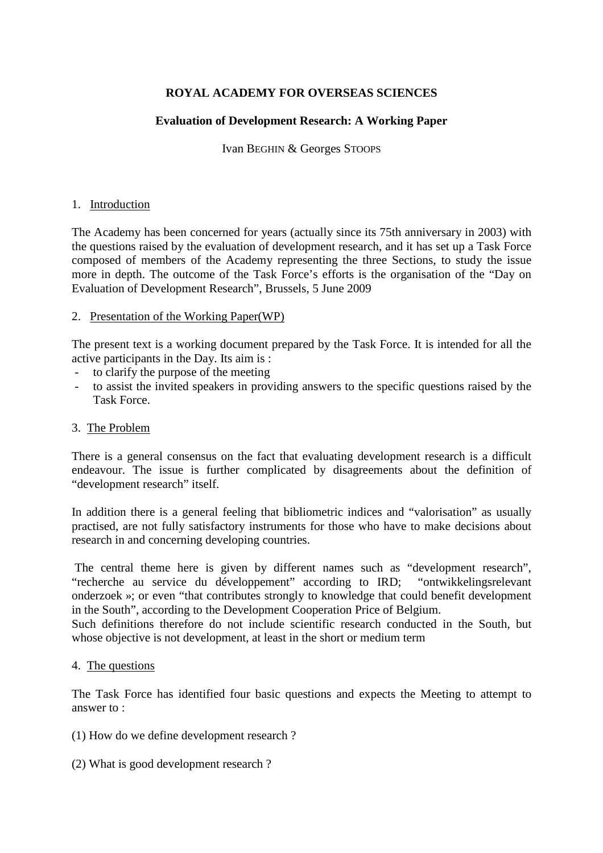# **ROYAL ACADEMY FOR OVERSEAS SCIENCES**

## **Evaluation of Development Research: A Working Paper**

Ivan BEGHIN & Georges STOOPS

#### 1. Introduction

The Academy has been concerned for years (actually since its 75th anniversary in 2003) with the questions raised by the evaluation of development research, and it has set up a Task Force composed of members of the Academy representing the three Sections, to study the issue more in depth. The outcome of the Task Force's efforts is the organisation of the "Day on Evaluation of Development Research", Brussels, 5 June 2009

#### 2. Presentation of the Working Paper(WP)

The present text is a working document prepared by the Task Force. It is intended for all the active participants in the Day. Its aim is :

- to clarify the purpose of the meeting
- to assist the invited speakers in providing answers to the specific questions raised by the Task Force.

#### 3. The Problem

There is a general consensus on the fact that evaluating development research is a difficult endeavour. The issue is further complicated by disagreements about the definition of "development research" itself.

In addition there is a general feeling that bibliometric indices and "valorisation" as usually practised, are not fully satisfactory instruments for those who have to make decisions about research in and concerning developing countries.

 The central theme here is given by different names such as "development research", "recherche au service du développement" according to IRD; "ontwikkelingsrelevant onderzoek »; or even "that contributes strongly to knowledge that could benefit development in the South", according to the Development Cooperation Price of Belgium.

Such definitions therefore do not include scientific research conducted in the South, but whose objective is not development, at least in the short or medium term

#### 4. The questions

The Task Force has identified four basic questions and expects the Meeting to attempt to answer to :

(1) How do we define development research ?

(2) What is good development research ?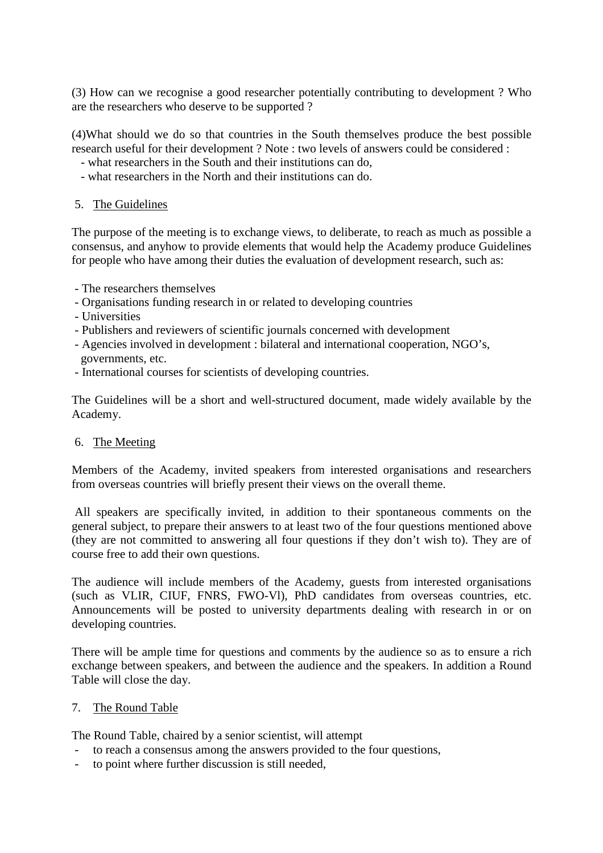(3) How can we recognise a good researcher potentially contributing to development ? Who are the researchers who deserve to be supported ?

(4)What should we do so that countries in the South themselves produce the best possible research useful for their development ? Note : two levels of answers could be considered :

- what researchers in the South and their institutions can do,
- what researchers in the North and their institutions can do.
- 5. The Guidelines

The purpose of the meeting is to exchange views, to deliberate, to reach as much as possible a consensus, and anyhow to provide elements that would help the Academy produce Guidelines for people who have among their duties the evaluation of development research, such as:

- The researchers themselves
- Organisations funding research in or related to developing countries
- Universities
- Publishers and reviewers of scientific journals concerned with development
- Agencies involved in development : bilateral and international cooperation, NGO's, governments, etc.
- International courses for scientists of developing countries.

The Guidelines will be a short and well-structured document, made widely available by the Academy.

#### 6. The Meeting

Members of the Academy, invited speakers from interested organisations and researchers from overseas countries will briefly present their views on the overall theme.

 All speakers are specifically invited, in addition to their spontaneous comments on the general subject, to prepare their answers to at least two of the four questions mentioned above (they are not committed to answering all four questions if they don't wish to). They are of course free to add their own questions.

The audience will include members of the Academy, guests from interested organisations (such as VLIR, CIUF, FNRS, FWO-Vl), PhD candidates from overseas countries, etc. Announcements will be posted to university departments dealing with research in or on developing countries.

There will be ample time for questions and comments by the audience so as to ensure a rich exchange between speakers, and between the audience and the speakers. In addition a Round Table will close the day.

#### 7. The Round Table

The Round Table, chaired by a senior scientist, will attempt

- to reach a consensus among the answers provided to the four questions,
- to point where further discussion is still needed,